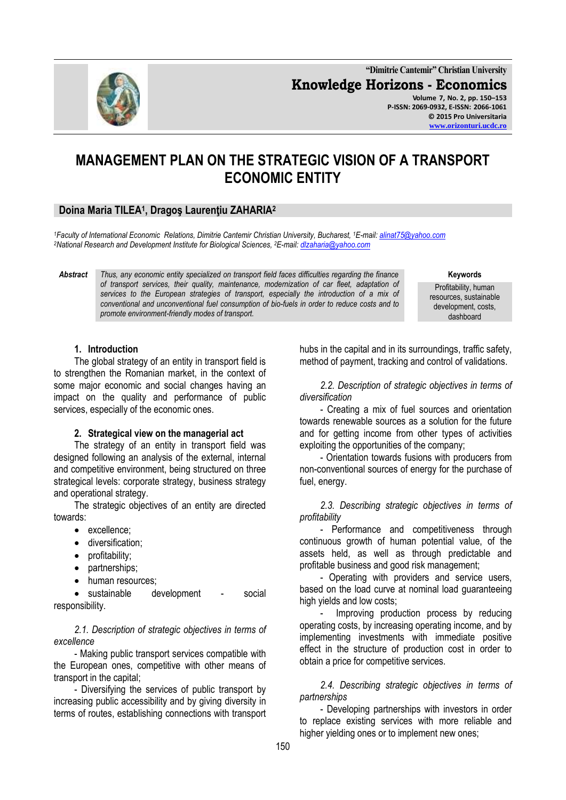**"Dimitrie Cantemir" Christian University Knowledge Horizons - Economics Volume 7, No. 2, pp. 150–153 P-ISSN: 2069-0932, E-ISSN: 2066-1061 © 2015 Pro Universitaria [www.orizonturi.ucdc.ro](http://www.orizonturi.ucdc.ro/)**

# **MANAGEMENT PLAN ON THE STRATEGIC VISION OF A TRANSPORT ECONOMIC ENTITY**

## **Doina Maria TILEA<sup>1</sup> , Dragoş Laurenţiu ZAHARIA<sup>2</sup>**

*<sup>1</sup>Faculty of International Economic Relations, Dimitrie Cantemir Christian University, Bucharest, <sup>1</sup>E-mail[: alinat75@yahoo.com](mailto:alinat75@yahoo.com) <sup>2</sup>National Research and Development Institute for Biological Sciences, <sup>2</sup>E-mail[: dlzaharia@yahoo.com](mailto:dlzaharia@yahoo.com)*

*Abstract Thus, any economic entity specialized on transport field faces difficulties regarding the finance of transport services, their quality, maintenance, modernization of car fleet, adaptation of services to the European strategies of transport, especially the introduction of a mix of conventional and unconventional fuel consumption of bio-fuels in order to reduce costs and to promote environment-friendly modes of transport.*

Profitability, human resources, sustainable development, costs, dashboard

**Keywords**

#### **1. Introduction**

The global strategy of an entity in transport field is to strengthen the Romanian market, in the context of some major economic and social changes having an impact on the quality and performance of public services, especially of the economic ones.

#### **2. Strategical view on the managerial act**

The strategy of an entity in transport field was designed following an analysis of the external, internal and competitive environment, being structured on three strategical levels: corporate strategy, business strategy and operational strategy.

The strategic objectives of an entity are directed towards:

- excellence:
- **·** diversification;
- profitability;
- partnerships;
- human resources;

• sustainable development - social responsibility.

*2.1. Description of strategic objectives in terms of excellence*

- Making public transport services compatible with the European ones, competitive with other means of transport in the capital;

- Diversifying the services of public transport by increasing public accessibility and by giving diversity in terms of routes, establishing connections with transport hubs in the capital and in its surroundings, traffic safety, method of payment, tracking and control of validations.

*2.2. Description of strategic objectives in terms of diversification*

- Creating a mix of fuel sources and orientation towards renewable sources as a solution for the future and for getting income from other types of activities exploiting the opportunities of the company;

- Orientation towards fusions with producers from non-conventional sources of energy for the purchase of fuel, energy.

*2.3. Describing strategic objectives in terms of profitability*

- Performance and competitiveness through continuous growth of human potential value, of the assets held, as well as through predictable and profitable business and good risk management;

- Operating with providers and service users, based on the load curve at nominal load guaranteeing high yields and low costs;

Improving production process by reducing operating costs, by increasing operating income, and by implementing investments with immediate positive effect in the structure of production cost in order to obtain a price for competitive services.

*2.4. Describing strategic objectives in terms of partnerships*

- Developing partnerships with investors in order to replace existing services with more reliable and higher yielding ones or to implement new ones;

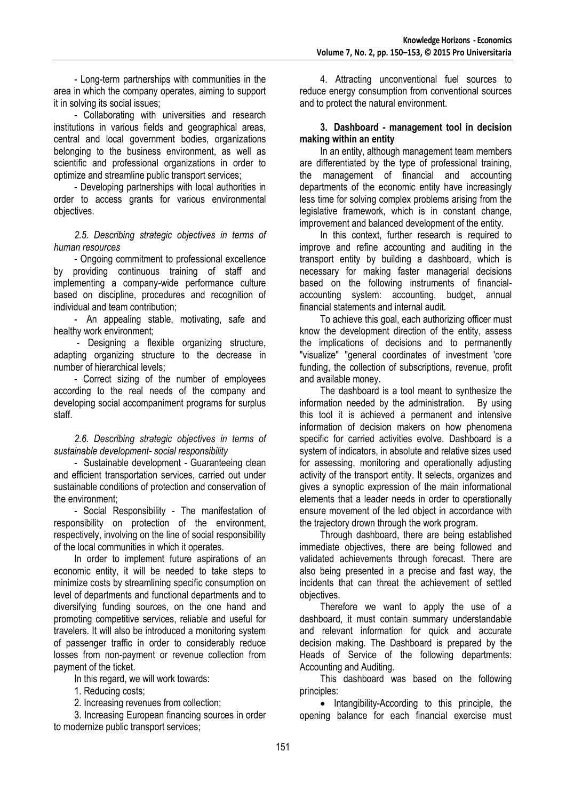- Long-term partnerships with communities in the area in which the company operates, aiming to support it in solving its social issues;

- Collaborating with universities and research institutions in various fields and geographical areas, central and local government bodies, organizations belonging to the business environment, as well as scientific and professional organizations in order to optimize and streamline public transport services;

- Developing partnerships with local authorities in order to access grants for various environmental objectives.

*2.5. Describing strategic objectives in terms of human resources*

- Ongoing commitment to professional excellence by providing continuous training of staff and implementing a company-wide performance culture based on discipline, procedures and recognition of individual and team contribution;

- An appealing stable, motivating, safe and healthy work environment;

- Designing a flexible organizing structure, adapting organizing structure to the decrease in number of hierarchical levels;

- Correct sizing of the number of employees according to the real needs of the company and developing social accompaniment programs for surplus staff.

*2.6. Describing strategic objectives in terms of sustainable development- social responsibility*

- Sustainable development - Guaranteeing clean and efficient transportation services, carried out under sustainable conditions of protection and conservation of the environment;

- Social Responsibility - The manifestation of responsibility on protection of the environment, respectively, involving on the line of social responsibility of the local communities in which it operates.

In order to implement future aspirations of an economic entity, it will be needed to take steps to minimize costs by streamlining specific consumption on level of departments and functional departments and to diversifying funding sources, on the one hand and promoting competitive services, reliable and useful for travelers. It will also be introduced a monitoring system of passenger traffic in order to considerably reduce losses from non-payment or revenue collection from payment of the ticket.

In this regard, we will work towards:

1. Reducing costs;

2. Increasing revenues from collection;

3. Increasing European financing sources in order to modernize public transport services;

4. Attracting unconventional fuel sources to reduce energy consumption from conventional sources and to protect the natural environment.

#### **3. Dashboard - management tool in decision making within an entity**

In an entity, although management team members are differentiated by the type of professional training, the management of financial and accounting departments of the economic entity have increasingly less time for solving complex problems arising from the legislative framework, which is in constant change, improvement and balanced development of the entity.

In this context, further research is required to improve and refine accounting and auditing in the transport entity by building a dashboard, which is necessary for making faster managerial decisions based on the following instruments of financialaccounting system: accounting, budget, annual financial statements and internal audit.

To achieve this goal, each authorizing officer must know the development direction of the entity, assess the implications of decisions and to permanently "visualize" "general coordinates of investment 'core funding, the collection of subscriptions, revenue, profit and available money.

The dashboard is a tool meant to synthesize the information needed by the administration. By using this tool it is achieved a permanent and intensive information of decision makers on how phenomena specific for carried activities evolve. Dashboard is a system of indicators, in absolute and relative sizes used for assessing, monitoring and operationally adjusting activity of the transport entity. It selects, organizes and gives a synoptic expression of the main informational elements that a leader needs in order to operationally ensure movement of the led object in accordance with the trajectory drown through the work program.

Through dashboard, there are being established immediate objectives, there are being followed and validated achievements through forecast. There are also being presented in a precise and fast way, the incidents that can threat the achievement of settled objectives.

Therefore we want to apply the use of a dashboard, it must contain summary understandable and relevant information for quick and accurate decision making. The Dashboard is prepared by the Heads of Service of the following departments: Accounting and Auditing.

This dashboard was based on the following principles:

• Intangibility-According to this principle, the opening balance for each financial exercise must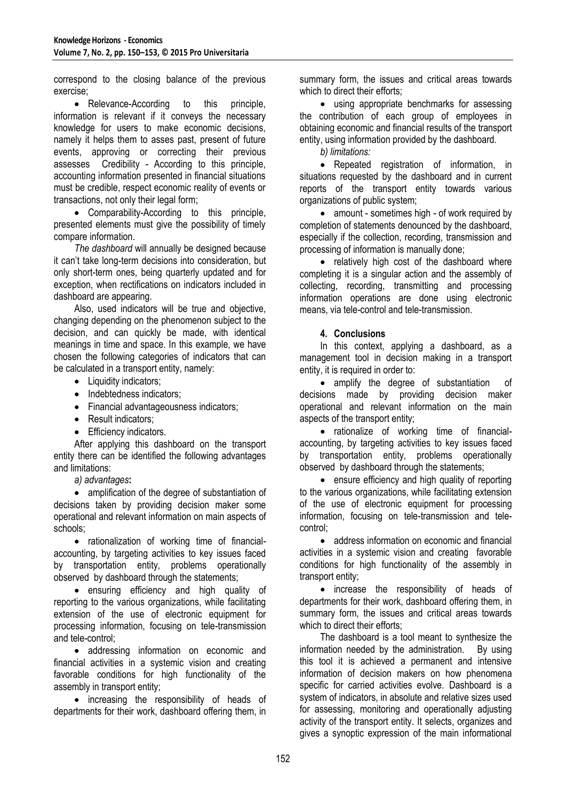correspond to the closing balance of the previous exercise;

• Relevance-According to this principle, information is relevant if it conveys the necessary knowledge for users to make economic decisions, namely it helps them to asses past, present of future events, approving or correcting their previous assesses Credibility - According to this principle, accounting information presented in financial situations must be credible, respect economic reality of events or transactions, not only their legal form;

 Comparability-According to this principle, presented elements must give the possibility of timely compare information.

*The dashboard* will annually be designed because it can't take long-term decisions into consideration, but only short-term ones, being quarterly updated and for exception, when rectifications on indicators included in dashboard are appearing.

Also, used indicators will be true and objective, changing depending on the phenomenon subject to the decision, and can quickly be made, with identical meanings in time and space. In this example, we have chosen the following categories of indicators that can be calculated in a transport entity, namely:

- Liquidity indicators:
- Indebtedness indicators:
- Financial advantageousness indicators;
- Result indicators;
- Efficiency indicators.

After applying this dashboard on the transport entity there can be identified the following advantages and limitations:

*a) advantages***:**

• amplification of the degree of substantiation of decisions taken by providing decision maker some operational and relevant information on main aspects of schools;

• rationalization of working time of financialaccounting, by targeting activities to key issues faced by transportation entity, problems operationally observed by dashboard through the statements;

 ensuring efficiency and high quality of reporting to the various organizations, while facilitating extension of the use of electronic equipment for processing information, focusing on tele-transmission and tele-control;

• addressing information on economic and financial activities in a systemic vision and creating favorable conditions for high functionality of the assembly in transport entity;

• increasing the responsibility of heads of departments for their work, dashboard offering them, in summary form, the issues and critical areas towards which to direct their efforts:

 using appropriate benchmarks for assessing the contribution of each group of employees in obtaining economic and financial results of the transport entity, using information provided by the dashboard.

*b) limitations:*

 Repeated registration of information, in situations requested by the dashboard and in current reports of the transport entity towards various organizations of public system;

• amount - sometimes high - of work required by completion of statements denounced by the dashboard, especially if the collection, recording, transmission and processing of information is manually done;

• relatively high cost of the dashboard where completing it is a singular action and the assembly of collecting, recording, transmitting and processing information operations are done using electronic means, via tele-control and tele-transmission.

### **4. Conclusions**

In this context, applying a dashboard, as a management tool in decision making in a transport entity, it is required in order to:

• amplify the degree of substantiation of decisions made by providing decision maker operational and relevant information on the main aspects of the transport entity;

• rationalize of working time of financialaccounting, by targeting activities to key issues faced by transportation entity, problems operationally observed by dashboard through the statements;

• ensure efficiency and high quality of reporting to the various organizations, while facilitating extension of the use of electronic equipment for processing information, focusing on tele-transmission and telecontrol;

• address information on economic and financial activities in a systemic vision and creating favorable conditions for high functionality of the assembly in transport entity;

• increase the responsibility of heads of departments for their work, dashboard offering them, in summary form, the issues and critical areas towards which to direct their efforts;

The dashboard is a tool meant to synthesize the information needed by the administration. By using this tool it is achieved a permanent and intensive information of decision makers on how phenomena specific for carried activities evolve. Dashboard is a system of indicators, in absolute and relative sizes used for assessing, monitoring and operationally adjusting activity of the transport entity. It selects, organizes and gives a synoptic expression of the main informational